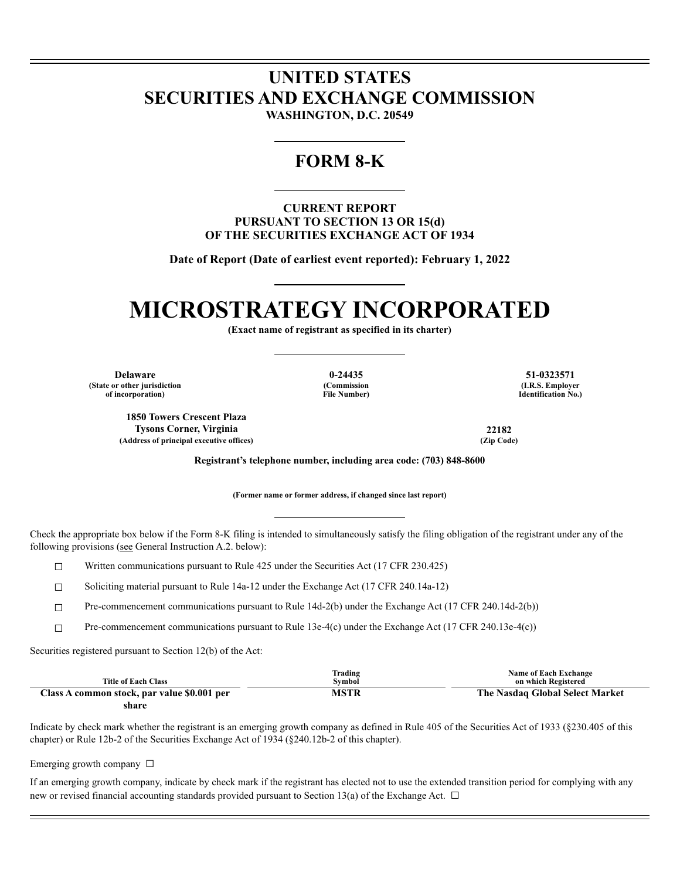## **UNITED STATES SECURITIES AND EXCHANGE COMMISSION**

**WASHINGTON, D.C. 20549**

### **FORM 8-K**

### **CURRENT REPORT PURSUANT TO SECTION 13 OR 15(d) OF THE SECURITIES EXCHANGE ACT OF 1934**

**Date of Report (Date of earliest event reported): February 1, 2022**

# **MICROSTRATEGY INCORPORATED**

**(Exact name of registrant as specified in its charter)**

**Delaware 0-24435 51-0323571 (State or other jurisdiction of incorporation)**

**(Commission File Number)**

**(I.R.S. Employer Identification No.)**

**1850 Towers Crescent Plaza Tysons Corner, Virginia 22182**  $(Address of principal executive offices)$ 

**Registrant's telephone number, including area code: (703) 848-8600**

**(Former name or former address, if changed since last report)**

Check the appropriate box below if the Form 8-K filing is intended to simultaneously satisfy the filing obligation of the registrant under any of the following provisions (see General Instruction A.2. below):

 $\Box$  Written communications pursuant to Rule 425 under the Securities Act (17 CFR 230.425)

☐ Soliciting material pursuant to Rule 14a-12 under the Exchange Act (17 CFR 240.14a-12)

☐ Pre-commencement communications pursuant to Rule 14d-2(b) under the Exchange Act (17 CFR 240.14d-2(b))

☐ Pre-commencement communications pursuant to Rule 13e-4(c) under the Exchange Act (17 CFR 240.13e-4(c))

Securities registered pursuant to Section 12(b) of the Act:

| <b>Title of Each Class</b>                  | Frading<br>Symbol | <b>Name of Each Exchange</b><br>on which Registered |
|---------------------------------------------|-------------------|-----------------------------------------------------|
| Class A common stock, par value \$0.001 per | MSTR              | The Nasdaq Global Select Market                     |

**share**

Indicate by check mark whether the registrant is an emerging growth company as defined in Rule 405 of the Securities Act of 1933 (§230.405 of this chapter) or Rule 12b-2 of the Securities Exchange Act of 1934 (§240.12b-2 of this chapter).

Emerging growth company  $\Box$ 

If an emerging growth company, indicate by check mark if the registrant has elected not to use the extended transition period for complying with any new or revised financial accounting standards provided pursuant to Section 13(a) of the Exchange Act.  $\Box$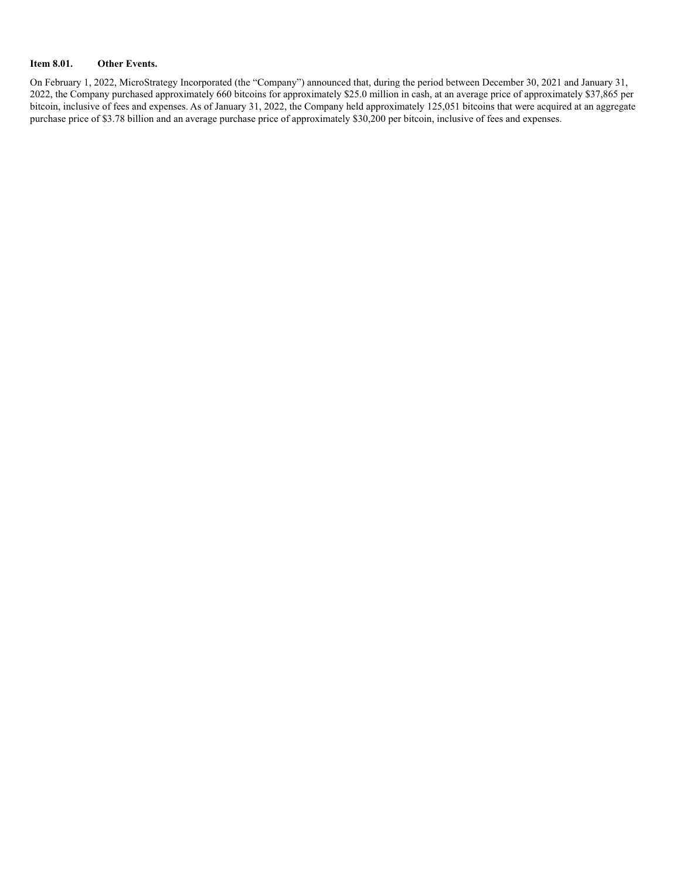### **Item 8.01. Other Events.**

On February 1, 2022, MicroStrategy Incorporated (the "Company") announced that, during the period between December 30, 2021 and January 31, 2022, the Company purchased approximately 660 bitcoins for approximately \$25.0 million in cash, at an average price of approximately \$37,865 per bitcoin, inclusive of fees and expenses. As of January 31, 2022, the Company held approximately 125,051 bitcoins that were acquired at an aggregate purchase price of \$3.78 billion and an average purchase price of approximately \$30,200 per bitcoin, inclusive of fees and expenses.